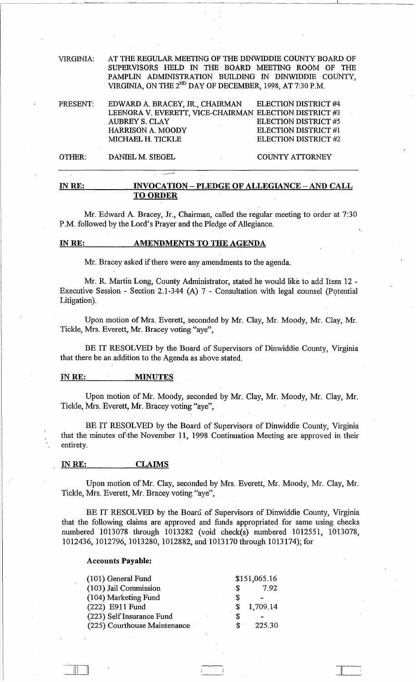| OTHER:    | DANIEL M. SIEGEL                                                                                                                                                                                                                             | <b>COUNTY ATTORNEY</b>                                                                              |
|-----------|----------------------------------------------------------------------------------------------------------------------------------------------------------------------------------------------------------------------------------------------|-----------------------------------------------------------------------------------------------------|
| PRESENT:  | EDWARD A. BRACEY, JR., CHAIRMAN<br>LEENORA V. EVERETT, VICE-CHAIRMAN ELECTION DISTRICT #3<br><b>AUBREY S. CLAY</b><br><b>HARRISON A. MOODY</b><br>MICHAEL H. TICKLE                                                                          | ELECTION DISTRICT #4<br>ELECTION DISTRICT #5<br><b>ELECTION DISTRICT #1</b><br>ELECTION DISTRICT #2 |
| VIRGINIA: | AT THE REGULAR MEETING OF THE DINWIDDIE COUNTY BOARD OF<br>SUPERVISORS HELD IN THE BOARD MEETING ROOM OF THE<br>PAMPLIN ADMINISTRATION BUILDING IN DINWIDDIE COUNTY,<br>VIRGINIA, ON THE 2 <sup>ND</sup> DAY OF DECEMBER, 1998, AT 7:30 P.M. |                                                                                                     |

# IN RE: INVOCATION - PLEDGE OF ALLEGIANCE - AND CALL TO ORDER

Mr. Edward A. Bracey, Jr., Chairman, called the regular meeting to order at 7:30 P.M. followeq by the Lord's Prayer and the Pledge of Allegiance.

#### IN RE: **AMENDMENTS TO THE AGENDA**

Mr. Bracey asked if there were any amendments to the agenda.

Mr. R. Martin Long, County Administrator, stated he would like to add Item 12 - Executive Session - Section 2.1-344 (A)  $7$  - Consultation with legal counsel (Potential Litigation).

Upon motion of Mrs. Everett, seconded by Mr. Clay, Mr. Moody, Mr. Clay, Mr. Tickle, Mrs. Everett, Mr. Bracey voting "aye",

BE IT RESOLVED by the Board of Supervisors of Dinwiddie County, Virginia that there be an addition to the Agenda as above stated.

#### INRE: MINUTES

Upon motion of Mr. Moody, seconded by Mr. Clay, Mr. Moody, Mr. Clay, Mr. Tickle, Mrs. Everett, Mr. Bracey voting "aye",

BE IT RESOLVED by the Board of Supervisors of Dinwiddie County, Virginia that the minutes of the November 11, 1998 Continuation Meeting are approved in their entirety.

#### INRE: CLAIMS

Upon motion of Mr. Clay, seconded by Mrs. Everett, Mr. Moody, Mr. Clay, Mr. Tickle, Mrs. Everett, Mr. Bracey voting "aye",

BE IT RESOLVED by the Board of Supervisors of Dinwiddie County, Virginia that the following claims are approved and funds appropriated for same using checks numbered 1013078 through 1013282 (void check(s) numbered 1012551, 1013078, 1012436, 1012796, 1013280, 1012882, and 1013170 through 1013174); for

> --. I

#### Accounts Payable:

| (101) General Fund           |    | \$151,065.16 |
|------------------------------|----|--------------|
| (103) Jail Commission        | S. | 7.92         |
| (104) Marketing Fund         |    |              |
| (222) E911 Fund              | £. | 1,709.14     |
| (223) Self Insurance Fund    | S  |              |
| (225) Courthouse Maintenance | Я. | 225.30       |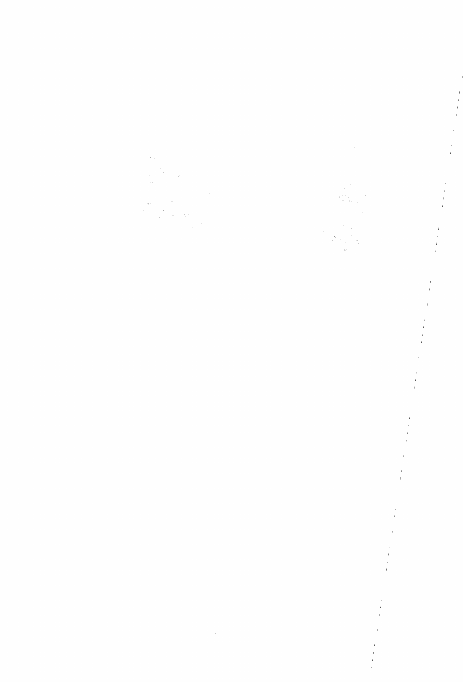$\label{eq:2.1} \frac{1}{\sqrt{2}}\int_{0}^{\infty}\frac{1}{\sqrt{2\pi}}\left(\frac{1}{\sqrt{2\pi}}\right)^{2}d\mu\int_{0}^{\infty}\frac{1}{\sqrt{2\pi}}\left(\frac{1}{\sqrt{2\pi}}\right)^{2}d\mu\int_{0}^{\infty}\frac{1}{\sqrt{2\pi}}\left(\frac{1}{\sqrt{2\pi}}\right)^{2}d\mu\int_{0}^{\infty}\frac{1}{\sqrt{2\pi}}\frac{1}{\sqrt{2\pi}}\frac{1}{\sqrt{2\pi}}\frac{1}{\sqrt{2\pi}}\frac{1}{\sqrt{2\pi}}$ 

 $\label{eq:2} \frac{1}{\sqrt{2}}\left(\frac{1}{\sqrt{2}}\right)^{2}$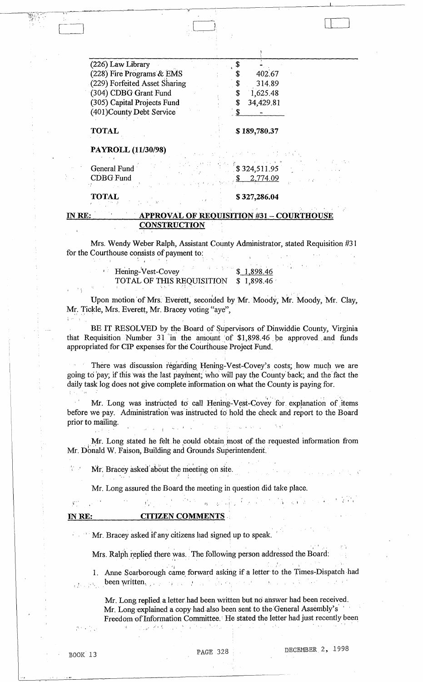| (226) Law Library             |                |  |
|-------------------------------|----------------|--|
| (228) Fire Programs & EMS     | 402.67         |  |
| (229) Forfeited Asset Sharing | 314.89<br>S    |  |
| (304) CDBG Grant Fund         | 1,625.48<br>\$ |  |
| (305) Capital Projects Fund   | 34,429.81      |  |
| (401) County Debt Service     |                |  |
| <b>TOTAL</b>                  | \$189,780.37   |  |
| <b>PAYROLL (11/30/98)</b>     |                |  |
| General Fund                  | 324            |  |

CDBG Fund

**TOTAL** 

# \$327,286.04

2,774.09

#### <u>APPROVAL OF REQUISITION #31 – COURTHOUSE</u> **IN RE CONSTRUCTION**

Mrs. Wendy Weber Ralph, Assistant County Administrator, stated Requisition #31 for the Courthouse consists of payment to:

> Hening-Vest-Covey  $$1,898.46$ TOTAL OF THIS REQUISITION \$1,898.46

Upon motion of Mrs. Everett, seconded by Mr. Moody, Mr. Moody, Mr. Clay, Mr. Tickle, Mrs. Everett, Mr. Bracey voting "aye",

BE IT RESOLVED by the Board of Supervisors of Dinwiddie County, Virginia that Requisition Number 31 in the amount of \$1,898.46 be approved and funds appropriated for CIP expenses for the Courthouse Project Fund.

There was discussion regarding Hening-Vest-Covey's costs; how much we are going to pay; if this was the last payment; who will pay the County back; and the fact the daily task log does not give complete information on what the County is paying for.

Mr. Long was instructed to call Hening-Vest-Covey for explanation of items before we pay. Administration was instructed to hold the check and report to the Board prior to mailing.

Mr. Long stated he felt he could obtain most of the requested information from Mr. Donald W. Faison, Building and Grounds Superintendent.

Mr. Bracey asked about the meeting on site.

Mr. Long assured the Board the meeting in question did take place.

IN RE:

 $\frac{1}{4}$  ,  $\frac{1}{2}$ 

 $\tilde{u}^{\tau, \tau}$ 

#### **CITIZEN COMMENTS**

 $\tilde{V} \in \mathbb{R}^{d \times d}$ Mr. Bracey asked if any citizens had signed up to speak.

Mrs. Ralph replied there was. The following person addressed the Board:

1. Anne Scarborough came forward asking if a letter to the Times-Dispatch had been written, and the property of the state of the state of the state of the state of (都市)

> Mr. Long replied a letter had been written but no answer had been received. Mr. Long explained a copy had also been sent to the General Assembly's Freedom of Information Committee. He stated the letter had just recently been 医最高级 化二硫酸氢化三硫酸

 $\label{eq:2} \mathcal{F} = \mathcal{F} \left( \mathcal{F} \right) \mathcal{F} \left( \mathcal{F} \right) \mathcal{F} \left( \mathcal{F} \right)$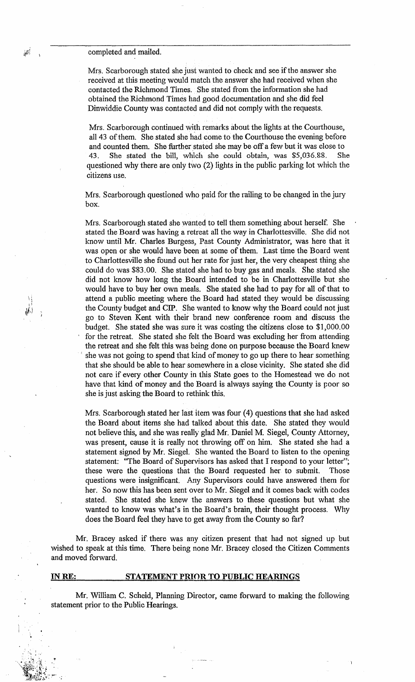#### completed and mailed.

,~~~,::

.<br>Sko

I If l~;

 $\mathcal{A}$ ,  $\mathcal{B}$  ,  $\mathcal{C}$  ,  $\mathcal{C}$ 

Mrs. Scarborough stated she just wanted to check and see if the answer she received at this meeting would match the answer she had received when she contacted the Richmond Times. She stated from the information she had obtained the Richmond Times had good documentation and she did feel Dinwiddie County was contacted and did not comply with the requests.

Mrs. Scarborough continued with remarks about the lights at the Courthouse, all 43 of them. She stated she had come to the Courthouse the evening before and counted them. She further stated she may be off a few but it was close to 43. She stated the bill, which she could obtain, was \$5,036.88. She questioned why there are only two (2) lights in the public parking lot which the citizens use.

Mrs. Scarborough questioned who paid for the railing to be changed in the jury box.

Mrs. Scarborough stated she wanted to tell them something about herself. She stated the Board was having a retreat all the way in Charlottesville. She did not know until Mr. Charles Burgess, Past County Administrator, was here that it was open or she would have been at some of them. Last time the Board went to Charlottesville she found out her rate for just her, the very cheapest thing she could do was \$83.00. She stated she had to buy gas and meals. She stated she did not know how long the Board intended to be in Charlottesville but she would have to buy her own meals. She stated she had to pay for all of that to attend a public meeting where the Board had stated they would be discussing the County budget and CIP. She wanted to know why the Board could not just go to Steven Kent with their brand new conference room and discuss the budget. She stated she was sure it was costing the citizens close to \$1,000.00 for the retreat. She stated she felt the Board was excluding her from attending the retreat and she felt this was being done on purpose because the Board knew she was not going to spend that kind of money to go up there to hear something that she should be able to hear somewhere in a close vicinity. She stated she did not care if every other County in this State goes to the Homestead we do not have that kind of money and the Board is always saying the County is poor so she is just asking the Board to rethink this.

Mrs. Scarborough stated her last item was four (4) questions that she had asked the Board about items she had talked about this date. She stated they would not believe this, and she was really glad Mr. Daniel M. Siegel, County Attorney, was present, cause it is really not throwing off on him. She stated she had a statement signed by Mr. Siegel. She wanted the Board to listen to the opening statement: ''The Board of Supervisors has asked that I respond to your letter"; these were the questions that the Board requested her to submit. Those questions were insignificant. Any Supervisors could have answered them for her. So now this has been sent over to Mr. Siegel and it comes back with codes stated. She stated she knew the answers to these questions but what she wanted to know was what's in the Board's brain, their thought process. Why does the Board feel they have to get away from the County so far?

Mr. Bracey asked if there was any citizen present that had not signed up but wished to speak at this time. There being none Mr. Bracey closed the Citizen Comments and moved forward.

#### **IN RE: STATEMENT PRIOR TO PUBLIC HEARINGS**

Mr. William C. Scheid, Planning Director, came forward to making the following statement prior to the Public Hearings.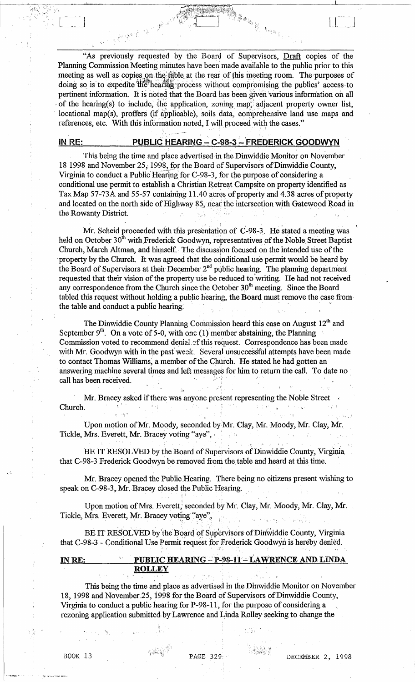"As previously requested by the Board of Supervisors, Draft copies of the Planning Commission Meeting minutes have been made available to the public prior to this meeting as well as copies on the table at the rear of this meeting room. The purposes of doing so is to expedite the hearing process without compromising the publics' access-to pertinent information. It is noted that the Board has been given various information on all of the hearing(s) to include, the application, zoning map, adjacent property owner list, locational map(s), proffers (if applicable), soils data, comprehensive land use maps and references, etc. With this information noted, I will proceed with the cases."

I I ]

### IN RE: PUBLIC HEARING - C-98-3 - FREDERICK GOODWYN

This being the time and place advertised in the Dinwiddie Monitor on November 18 1998 and November 25, 1998, for the Board of Supervisors of Dinwiddie County, Virginia to conduct a Public Heating for C-98-3, for the purpose of considering a conditional use permit to establish a Christian Retreat Campsite on property identified as Tax Map 57-73A and 55-57 containing  $11.40$  acres of property and 4.38 acres of property and located on the north side of Highway 85, near the intersection with Gatewood Road in the Rowanty District. This being the time and place advertised in the Dinwiddle Monitor on November<br>18 1998 and November 25, 1998, for the Board of Supervisors of Dinwiddle County,<br>Virginia to conduct a Public Hearing for C-98-3, for the purpo

Mr. Scheid proceeded with this presentation of  $C$ -98-3. He stated a meeting was held on October 30<sup>th</sup> with Frederick Goodwyn, representatives of the Noble Street Baptist Church, March Altman, and himself. The discussion focused on the intended use of the property by the Church. It was agreed that the conditional use permit would be heard by the Board of Supervisors at their December  $2<sup>nd</sup>$  public hearing. The planning department requested that their vision of the property use be reduced to writing. He had not received any correspondence from the Church since the October 30<sup>th</sup> meeting. Since the Board tabled this request without holding a public hearing, the Board must remove the case from Mr. Scheid proceeded with this presentation of C-98-3. He stated a meeting was<br>held on October 30<sup>th</sup> with Frederick Goodwyn, representatives of the Noble Street Baptist<br>Church, March Altman, and himself. The discussion f

The Dinwiddie County Planning Commission heard this case on August  $12<sup>th</sup>$  and September  $9<sup>th</sup>$ . On a vote of 5-0, with one (1) member abstaining, the Planning Commission voted to recommend denial of this request. Correspondence has been made with Mr. Goodwyn with in the past week. Several unsuccessful attempts have been made to contact Thomas Williams, a member of the Church. He stated he had gotten an . answering machine several times and left messages for him to return the call. To date no call has been received.

Mr. Bracey asked if there was anyone present representing the Noble Street Church. . '

• r~ ':

Upon motion of Mr. Moody, seconded by Mr. Clay, Mr. Moody, Mr. Clay, Mr. Tickle, Mrs. Everett, Mr. Bracey voting "aye",

BE IT RESOLVED by the Board of Supervisors of Dinwiddie County, Virginia. that C-98-3 Frederick Goodwyn be removed from the table and heard at this time. .

Mr. Bracey opened the Public Hearing. There being no citizens present wishing to speak on C-98-3, Mr. Bracey closed the Public Hearing.

" .

Upon motion of Mrs. Everett, seconded by Mr. Clay, Mr. Moody, Mr. Clay, Mr. Upon motion of Mrs. Everett, seconded by Mr. Clay, Mr. Moody, N<br>Tickle, Mrs. Everett, Mr. Bracey voting "aye",

BE IT RESOLVED by the Board of Supervisors of Dinwiddie County, Virginia that C-98-3 - Conditional Use Permit request for Frederick Goodwyn is hereby denied.

# IN RE: PUBLIC HEARING = P-98-11 - LAWRENCE AND LINDA **ROLLEY**

This being the time and place as advertised in the Dinwiddie Monitor on November 18, 1998 and November.25, 1998 for the Board of Supervisors of Dinwiddie County, Virginia to conduct a public hearing for P-98-11, for the purpose of considering a rezoning application submitted by Lawrence and Linda Rolley seeking to change the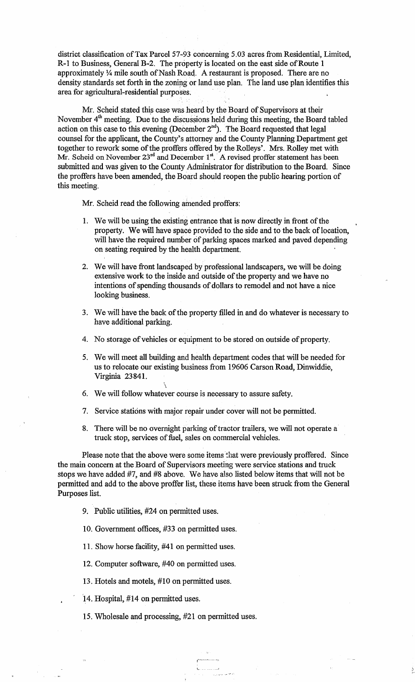district classification of Tax Parcel 57-93 concerning 5.03 acres from Residential, Limited, R-l to Business, General B-2. The property is located on the east side of Route 1 approximately Y4 mile south of Nash Road. A restaurant is proposed. There are no density standards set forth in the zoning or land use plan. The land use plan identifies this area for agricultural-residential purposes.

Mr. Scheid stated this case was heard by the Board of Supervisors at their November 4<sup>th</sup> meeting. Due to the discussions held during this meeting, the Board tabled action on this case to this evening (December  $2<sup>nd</sup>$ ). The Board requested that legal counsel for the applicant, the County's attorney and the County Planning Department get together to rework some of the proffers offered by the Rolleys'. Mrs. Rolley met with Mr. Scheid on November  $23^{rd}$  and December  $1^{st}$ . A revised proffer statement has been submitted and was given to the County Administrator for distribution to the Board. Since the proffers have been amended, the Board should reopen the public hearing portion of this meeting.

Mr. Scheid read the following amended proffers:

- 1. We will be using the existing entrance that is now directly in front of the property. We will have space provided to the side and to the back of location, will have the required number of parking spaces marked and paved depending on seating required by the health department.
- 2. We will have front landscaped by professional landscapers, we will be doing extensive work to the inside and outside of the property and we have no intentions of spending thousands of dollars to remodel and not have a nice looking business.
- 3. We will have the back of the property filled in and do whatever is necessary to have additional parking.
- 4. No storage of vehicles or equipment to be stored on outside of property.
- 5. We will meet all building and health department codes that will be needed for us to relocate our existing business from 19606 Carson Road, Dinwiddie, Virginia 23841.
- $\mathbf{r}$ 6. We will follow whatever course is necessary to assure safety.
- 7. Service stations with major repair under cover will not be permitted.
- 8. There will be no overnight parking of tractor trailers, we will not operate a truck stop, services of fuel, sales on commercial vehicles.

Please note that the above were some items that were previously proffered. Since the main concern at the Board of Supervisors meeting were service stations and truck stops we have added #7, and #8 above. We have also listed below items that will not be permitted and add to the above proffer list, these items have been struck from the General Purposes list.

(بالاستخدام)<br>(بالمستخدام)

~'~ .~ --r "

L

- 9. Public utilities, #24 on permitted uses.
- 10. Government offices, #33 on permitted uses.
- 11. Show horse facility, #41 on permitted uses.
- 12. Computer software, #40 on permitted uses.
- 13. Hotels and motels, #10 on permitted uses.
- 14. Hospital, #14 on permitted uses.
- 15. Wholesale and processing, #21 on permitted uses.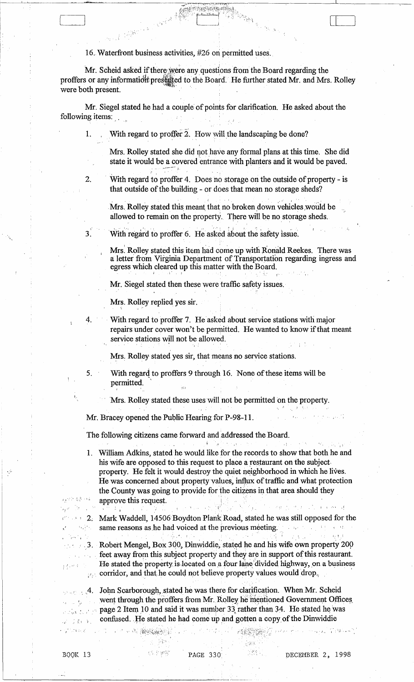16. Waterfront business activities, #26 on permitted uses.

Mr. Scheid asked if there were any questions from the Board regarding the proffers or any information presented to the Board. He further stated Mr. and Mrs. Rolley were both present.

where the contract of the contract of the contract of the contract of the contract of the contract of the contract of the contract of the contract of the contract of the contract of the contract of the contract of the cont

Mr. Siegel stated he had a couple of points for clarification. He asked about the following items:

1. With regard to proffer 2. How will the landscaping be done?

Mrs. Rolley stated she did qot have any formal plans at this time. She did state it would be a covered entrance with planters and it would be paved.

2. With regard to proffer 4. Does no storage on the outside of property - is that outside of the building - or does that mean no storage sheds?

 $r$ ,  $r^2$  is a set  $Mrs$ . Rolley stated this meant, that no broken down vehicles would be  $\mathbb{R}$ allowed to remain on the property. There will be no storage sheds.

3~ With regard to proffer 6. He asked about the safety issue.

> Mrs. Rolley stated this item had come up with Ronald Reekes. There was a letter from Virginia Department of Transportation regarding ingress and egress which cleared up this matter with the Board.

Mr. Siegel stated then these were traffic safety issues.

Mrs. Rolley replied yes sir.

4. With regard to proffer 7. He asked about service stations with major repairs under cover won't be permitted. He wanted to know if that meant service stations will not be allowed.

, I like the second control of the second control of the second control of the second control of the second co

Mrs. Rolley stated yes sir, that means no service stations.

5. With regard to proffers 9 through 16. None of these items will be permitted.

'Mrs. Rolley stated these uses will not be permitted on the property.

Mr. Bracey opened the Public Hearing for P-98-11.

The following citizens came forward and addressed the Board.

1. William Adkins, stated he would like for the records to show that both he and his wife are opposed to this request to place a restaurant on the subject. property. He felt it would destroy the quiet neighborhood in which he lives. He was concerned about property values, influx of traffic and what protection the County was going to provide for the citizens in that area should they 89岁记 清清一场 approve this request.  $\frac{1}{2} \sum_{i=1}^{n} \frac{1}{2} \sum_{i=1}^{n} \frac{1}{2} \sum_{i=1}^{n} \frac{1}{2} \sum_{i=1}^{n} \frac{1}{2} \sum_{i=1}^{n} \frac{1}{2} \sum_{i=1}^{n} \frac{1}{2} \sum_{i=1}^{n} \frac{1}{2} \sum_{i=1}^{n} \frac{1}{2} \sum_{i=1}^{n} \frac{1}{2} \sum_{i=1}^{n} \frac{1}{2} \sum_{i=1}^{n} \frac{1}{2} \sum_{i=1}^{n} \frac{1}{2} \sum_{i=1}^{n$ 

'! 2; Mark Waddell, 14506 Boydton Plank Road, stated he was still opposed forthe  $\mathcal{F}_{\mathbf{r},\mathbf{r}}$ same reasons as ,he had voiced at the previous m~eting. , ' ' " ", ...

1.3. Robert Mengel, Box 300, Dinwiddie, stated he and his wife own property 200 feet away from this subject property and they are in support of this restaurant. He stated the property is located on a four lane divided highway, on a business corridor, and that he could not believe property values would drop.

4. John Scarborough, stated he was there for clarification. When Mr. Scheid went through the proffers from Mr. Rolley he mentioned Government Offices, page 2 Item 10 and said it was number 33 rather than 34. He stated he was  $\epsilon$  confused. He stated he had come up and gotten a copy of the Dinwiddie ,  $\frac{1}{2}$ ,  $\frac{1}{2}$ ,  $\frac{1}{2}$ ,  $\frac{1}{2}$ ,  $\frac{1}{2}$ . '. . .. . , , . 'I '.' •. t ',) ." 'r:

únga

, "

 $\gamma$  , and  $\gamma$  , and 绿叶红色

",t .'

ng l

I.

, .<br>.<br>.

 $\mathbb{Q}_{1}$ 

第50点点头

'---------~--------'--~---~~~ .. -,~------,-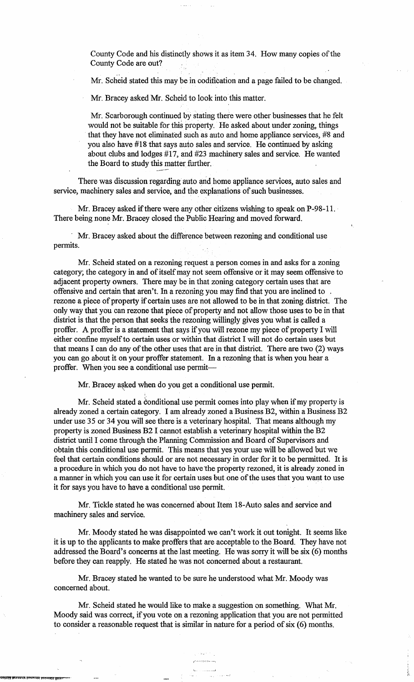County Code and his distinctly shows it as item 34. How many copies of the County Code are out?

,. Mr. Scheid stated this may be in codification and a page failed to be changed.

Mr. Bracey asked Mr. Scheid to look into this matter.

Mr. Scarborough continued by stating there were other businesses that he felt would not be suitable for this property. He asked about under zoning, things that they have not eliminated such as auto and home appliance services, #8 and you also have  $#18$  that says auto sales and service. He continued by asking about clubs and lodges #17, and #23 machinery sales and service. He wanted the Board to study this matter further. .. -----

There was discussion regarding auto and home appliance services, auto sales and service, machinery sales and service, and the explanations of such businesses.

Mr. Bracey asked if there were any other citizens wishing to speak on P-98-Il. . There being none Mr. Bracey closed the Public Hearing and moved forward.

, Mr. Bracey asked about the difference between rezoning and conditional use permits.

Mr. Scheid stated on a rezoning request a person comes in and asks for a zoning category; the category in and of itself may not seem offensive or it may seem offensive to adjacent property owners. There may be in that zoning category certain uses that are offensive and certain that aren't. In a rezoning you may find that you are inclined to , rezone a piece of property if certain uses are not allowed to be in that zoning district. The only way that you can rezone that piece of property and not allow those uses to be in that district is that the person that seeks the rezoning willingly gives you what is called a proffer. A proffer is a statement that says if you will rezone my piece of property I will either confine myself to certain uses or within that district I will not do certain uses but that means I can do any of the other uses that are in that district. There are two  $(2)$  ways you can go about it on your proffer statement. In a rezoning that is when you hear a proffer. When you see a conditional use permit-

Mr. Bracey asked when do you get a conditional use permit.

Mr. Scheid stated a conditional use permit comes into play when if my property is already zoned a certain category. I am already zoned a Business B2, within a Business B2 under use 35 or 34 you will see there is a veterinary hospital. That means although my property is zoned Business B2 I cannot establish a veterinary hospital within the B2 district until I come through the Planning Commission and Board of Supervisors and obtain this conditional use permit. This means that yes your use will be allowed but we feel that certain conditions should or are not necessary in order for it to be permitted. It is a procedure in which you do not have to have the property rezoned, it is already zoned in a manner in which you can use it for certain uses but. one of the uses that you want to use it for says you have to have a conditional use permit. '

Mr. Tickle stated he was concerned 'about Item I8-Auto sales and service and machinery sales and service.

Mr. Moody stated he was disappointed we can't work it out tonight. It seems like it is up to the applicants to make proffers that are acceptable to the Board. They have not addressed the Board's concerns at the last meeting. He was sorry it will be six (6) months before they can reapply. He stated he was not concerned about a restaurant.

Mr. Bracey stated he wanted to be sure he understood what Mr. Moody was concerned about.

~~~V9!'!4=iQ.,Y\$~

Mr. Scheid stated he would like to make a suggestion on something. What Mr. Moody said was correct, if you vote on a rezoning application that you are not permitted to consider a reasonable request that is similar in nature for a period of six (6) months.

i<br>S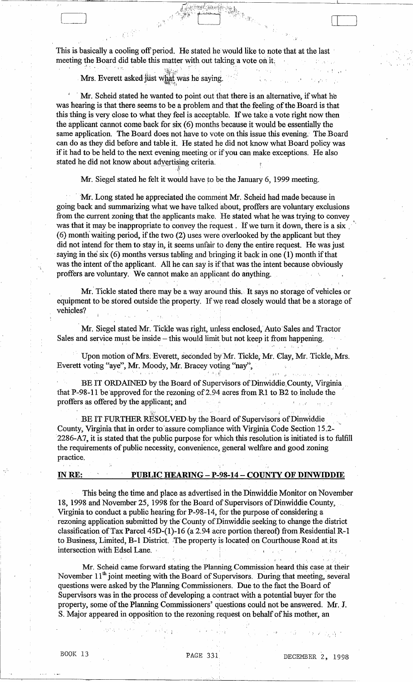This is basically a cooling off period. He stated he would like to note that at the last ' meeting the Board did table this matter with out taking a vote on it.

# Mrs. Everett asked just what was he saying.

Mr. Scheid stated he wanted to point out that there is an alternative, if what he was hearing is that there seems to be a problem and that the feeling of the Board is that this thing is very close to what they feel is acceptable. If we take a vote right now then the applicant cannot come back for six (6) months because it would be essentially the same application. The Board does not have to vote on this issue this evening. The Board can do as they did before and table it. He stated he did not know what Board policy was if it had to be held to the next evening meeting or if you can make exceptions. He also stated he did not know about advertising criteria.

Mr. Siegel stated he felt it would have to be the January 6, 1999 meeting.

 $\cdot$   $\cdot$   $\cdot$   $\cdot$   $\cdot$   $\cdot$   $\cdot$ 

Mr. Long stated he appreciated the comment Mr. Scheid had made because in going back and summarizing what we have talked about, proffers are voluntary exclusions from the current zoning that the applicants make. He stated what he was trying to convey was that it may be inappropriate to convey the request. If we turn it down, there is a six  $(6)$  month waiting period, if the two  $(2)$  uses were overlooked by the applicant but they did not intend for them to stay in, it seems unfair to deny the entire request. He was just saying in the six (6) months versus tabling and bringing it back in one (I) month if that was the intent of the applicant. All he can say is if that was the intent because obviously proffers are voluntary. We cannot make an applicant do anything.

Mr. Tickle stated there may be a way around this. It says no storage of vehicles or equipment to be stored outside the property. If we read closely would that be a storage of vehicles?

, Mr. Siegel stated Mr. Tickle was right, unless enclosed,' Auto' Sales and Tractor Sales and service must be inside  $-$  this would limit but not keep it from happening.

Upon motion of Mrs. Everett, seconded by Mr. Tickle, Mr. Clay, Mr. Tickle, Mrs. Everett voting "aye", Mr. Moody, Mr. Bracey voting "nay",

BE IT ORDAINED by the Board of Supervisors of Dinwiddie County, Virginia that P-98-11 be approved for the rezoning of 2.94 acres from R1 to B2 to include the proffers as offered by the applicant; and

BE IT FURTHER RESOLVED by the Board of Supervisors of Dinwiddie County, Virginia that in order to 'assure compliance with Virginia Code Section 15.2- 2286-A7, it is stated that the public purpose for Which this resolution is initiated is to fulfill the requirements of public necessity, convenience, general welfare and good zoning practice.

lby a start of the stage contract of the start of the stage of

#### IN RE: PUBLIC HEARING - P-98-14 - COUNTY OF DINWIDDIE

This being the time and place as advertised in the Dinwiddie Monitor on November 18, 1998 and November 25; 1998 for the Board of Supervisors of Dinwiddie County, Virginia to conduct a public hearing for P-98-14, for the purpose of considering a rezoning application submitted by the' County of Dinwiddie seeking to change the district classification of Tax Parcel 45D-(I)-16 (a 2.94 acre portion thereof) from Residential R-I to Business, Limited, B-1 District. The property is located on Courthouse Road at its intersection with Edsel Lane.

Mr. Scheid came forward stating the Planning Commission heard this case at their November  $11<sup>th</sup>$  joint meeting with the Board of Supervisors. During that meeting, several questions were asked by the Planning Commissioners. Due to the fact the Board of Supervisors was in the process of developing a contract with a potential buyer for the property, some of the Planning Commissioners' questions could not be answered. Mr. J. S. Major appeared in opposition to the rezoning request on behalf of his mother, an

 $\sqcup$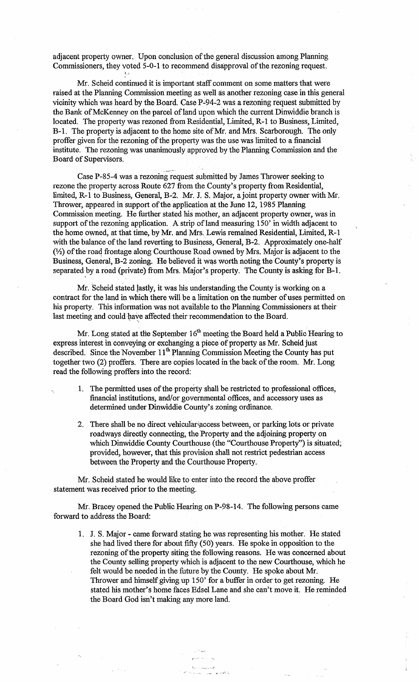adjacent property owner. Upon conclusion of the general discussion among Planning Commissioners, they voted 5-0-1 to recommend disapproval of the rezoning request.

k .;

Mr. Scheid continued it is important staff comment on some matters that were raised at the Planning Commission meeting as well as another rezoning case in this general vicinity which was heard by the Board. Case P-94-2 was a rezoning request submitted by the Bank of McKenney on the parcel of land upon which the current Dinwiddie branch is located. The property was rezoned from Residential, Limited, R-l to Business, Limited, B-1. The property is adjacent to the home site of Mr. and Mrs. Scarborough. The only proffer given for the rezoning of the property was the use was limited to a financial institute. The rezoning was unanimously approved by the Planning Commission and the Board of Supervisors.

Case P-85-4 was a rezoning request submitted by James Thrower seeking to rezone the property across Route 627 from the County's property from Residential, limited, R-l to Business, General, B-2. Mr. J. S. Major, a joint property owner with Mr. Thrower, appeared in support of the application at the June 12, 1985 Planning Commission meeting. He further stated his mother, an adjacent property owner, was in support of the rezoning application. A strip of land measuring 150' in width adjacent to the home owned, at that time, by Mr. and Mrs. Lewis remained Residential, Limited, R-l with the balance of the land reverting to Business, General, B-2. Approximately one-half (1/2) of the road frontage along Courthouse Road owned by Mrs. Major is adjacent to the Business, General, B-2 zoning. He believed it was worth noting the County's property is separated by a road (private) from Mrs. Major's property. The County is asking for B-1.

Mr. Scheid stated lastly, it was his understanding the County is working on a contract for the land in which there will be a limitation on the number of uses permitted on his property. This information was not available to the Planning Commissioners at their last meeting and could have affected their recommendation to the Board.

Mr. Long stated at the September  $16<sup>th</sup>$  meeting the Board held a Public Hearing to express interest in conveying or exchanging a piece of property as Mr. Scheid just described. Since the November  $11<sup>th</sup>$  Planning Commission Meeting the County has put together two (2) proffers. There are copies located in the back of the room. Mr. Long read the following proffers into the record:

- 1. The permitted uses of the property shall be restricted to professional offices, financial institutions, and/or governmental offices, and accessory uses as determined under Dinwiddie County's zoning ordinance.
- 2. There shall be no direct vehicular access between, or parking lots or private roadways directly connecting, the Property and the adjoining property on which Dinwiddie County Courthouse (the "Courthouse Property") is situated; provided, however, that this provision shall not restrict pedestrian access between the Property and the Courthouse Property.

Mr. Scheid stated he would like to enter into the record the above proffer statement was received prior to the meeting.

Mr. Bracey opened the Public Hearing on P-98-14. The following persons came forward to address the Board:

1. J. S. Major - came forward stating he was representing his mother. He stated she had lived there for about fifty (50) years. He spoke in opposition to the rezoning of the property siting the following reasons. He was concerned about the County selling property which is adjacent to the new Courthouse, which he felt would be needed in the future by the County. He spoke about Mr. Thrower and himself giving up 150' for a buffer in order to get rezoning. He stated his mother's home faces Edsel Lane and she can't move it. He reminded the Board God isn't making any more land.

> . '...' r-- ,

> > *\_\_\_\_\_\_ ...1*

 $\sim$  ,  $\sim$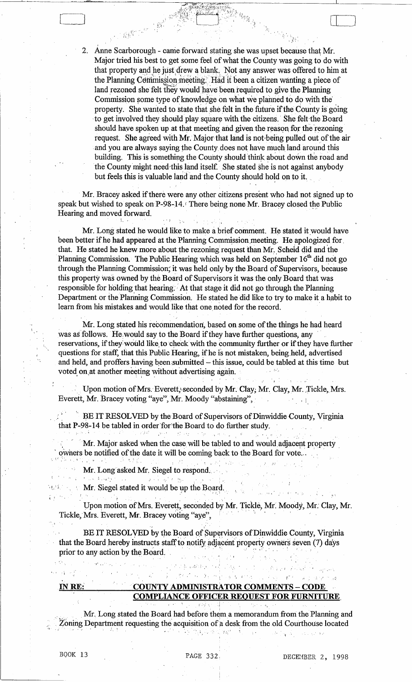, 2. Anne Scarborough - came forward stating she was upset because that Mr. Major tried his best to get some feel of what the County was going to do with that property and he just drew a blank. Not any answer was offered to him at the Planning Commission meeting. Had it been a citizen wanting a piece of land rezoned she felt they would have been required to give the Planning Commission some type of knowledge on what we planned to do with the property. She wanted to state that she felt in the future if the County is going to get involved they should play square with the citizens. She felt the Board should have spoken up at that meeting and given the reason for the rezoning request. She agreed with Mr. Major that land is not,being pulled out of the air and you are always saying the County does not have much land around this building. This is something the County should think about down the road and the County might need-this land itself. She stated she is not against anybody but feels this is valuable land and the County should hold on to it.

Mr. Bracey asked if there were any other citizens present who had not signed up to speak but wished to speak on  $P-98-14$ . There being none Mr. Bracey closed the Public Hearing and moved forward. ,

Mr. Long stated he would like to make a brief comment. He stated it would have been better if he had appeared at the Planning Commission meeting. He apologized for, that. He stated he knew more about the rezoning request than Mr. Scheid did and the Planning Commission. The Public Hearing which was held on September  $16<sup>th</sup>$  did not go through the Planning Commission; it was held only by the Board of Supervisors, because this property was owned by the Board of Supervisors it was the only Board that was responsible for holding that hearing: . At that stage it did not go through the Planning Department or the Planning Commission. He stated he did like to try to make it a habit to learn from his mistakes and would like that one noted for the record. '

Mr. Long stated his recommendation', based on some of the things he had heard was as follows. He would say to the Board if they have further questions, any reservations, if they would like to check with the community further or if they have further questions for staff, that this Public Hearing, if he is not mistaken, being held, advertised and held, and proffers having been submitted  $-$  this issue, could be tabled at this time but voted on at another meeting without advertising again.

Upon motion of Mrs. Everett, seconded by Mr. Clay, Mr. Clay, Mr. Tickle, Mrs. Everett, Mr. Bracey voting "aye", Mr. Moody "abstaining",

BE IT RESOLVED by the Board of Supervisors of Dinwiddie County, Virginia that P-98-14 be tabled in order for the Board to do further study.

Mr. Major asked when the case will be tabled to and would adjacent property owners be notified of the date it will be coming back to the Board for vote.

Mr. Long asked Mr. Siegel to respond ...

 $\label{eq:1} \left\{ \left\langle \sigma_{\alpha} \right\rangle_{\mathcal{B}} \left\langle \left\langle \sigma_{\alpha} \right\rangle_{\mathcal{B}} \right\rangle_{\mathcal{B}} \right\}$ 

" '

 $\label{eq:4} \mathcal{L}_{\mathcal{L}}^{(k)} = \frac{1}{k} \sum_{i=1}^{k-1}$ 

and a significant property  $\mathbb{R}^n$  . Mr. Siegel stated it would be up the Board.

Upon motion of Mrs. Everett, seconded by Mr. Tickle, Mr. Moody, Mr. Clay, Mr. Tickle, Mrs. Everett, Mr. Bracey voting "aye",

. , '" , . '. I

'. , BE IT RESOLVED by the Board of Supervisors of Dinwiddie County, Virginia that the Board hereby instructs staff to notify adjacent property owners seven (7) days prior to any action by the Board.

# IN RE: COUNTY ADMINISTRATOR COMMENTS – CODE COMPLIANCE OFFICER REQUEST FOR FURNITURE

Mr. Long stated the Board had before them a memorandum from the Planning and Zoning Department requesting the acquisition of a desk from the old Courthouse located  $\sim$   $\sim$   $\sim$   $\sim$   $\sim$   $\sim$ 

 $\hat{\mathcal{Q}}_{\text{max}}$ 

 $24 - 6.3$ 

s" "

..1.111

r  $\lfloor$ 

 $\mathcal{L}$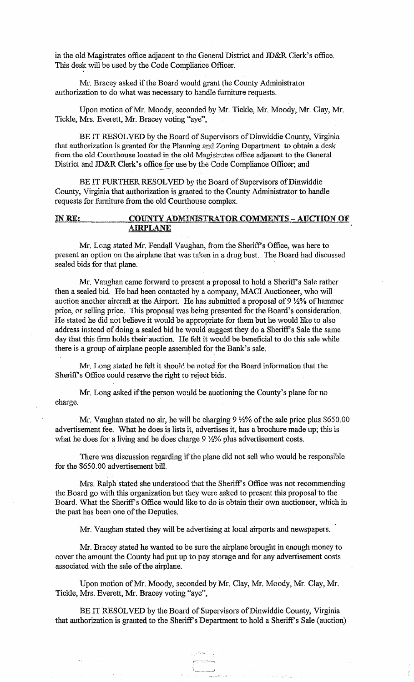in the old Magistrates office adjacent to the General District and JD&R Clerk's office. This desk will be used by the Code Compliance Officer.

Mr. Bracey asked if the Board would grant the County Administrator authorization to do what was necessary to handle furniture requests.

Upon motion of Mr. Moody, seconded by Mr. Tickle, Mr. Moody, Mr. Clay, Mr. Tickle, Mrs. Everett, Mr. Bracey voting "aye",

BE IT RESOLVED by the Board of Supervisors of Dinwiddie County, Virginia that authorization is granted for the Planning and Zoning Department to obtain a desk from the old Courthouse located in the old Magistrates office adjacent to the General District and JD&R Clerk's office for use by the Code Compliance Officer; and

BE IT FURTHER RESOLVED by the Board of Supervisors of Dinwiddie County, Virginia that authorization is granted to the County Administrator to handle requests for fhrniture from the old Courthouse complex.

# IN RE: COUNTY ADMINISTRATOR COMMENTS - AUCTION OF **AIRPLANE**

Mr. Long stated Mr. Fendall Vaughan, from the Sheriff's Office, was here to present an option on the airplane that was taken in a drug bust. The Board had discussed sealed bids for that plane.

Mr. Vaughan came forward to present a proposal to hold a Sheriff's Sale rather then a sealed bid. He had been contacted by a company, MACI Auctioneer, who will auction another aircraft at the Airport. He has submitted a proposal of9 *Y2%* of hammer price, or selling price. This proposal was being presented for the Board's consideration. He stated he did not believe it would be appropriate for them but he would like to also address instead of doing a sealed bid he would suggest they do a Sheriff's Sale the same day that this firm holds their auction. He felt it would be beneficial to do this sale while there is a group of airplane people assembled for the Bank's sale.

Mr. Long stated he felt it should be noted for the Board information that the Sheriff's Office could reserve the right to reject bids.

Mr. Long asked if the person would be auctioning the County's plane for no charge.

Mr. Vaughan stated no sir, he will be charging 9 *Y2%* of the sale price plus \$650.00 advertisement fee. What he does is lists it, advertises it, has a brochure made up; this is what he does for a living and he does charge 9 *Y2%* plus advertisement costs.

There was discussion regarding if the plane did not sell who would be responsible for the \$650.00 advertisement bill.

Mrs. Ralph stated she understood that the Sheriff's Office was not recommending the Board go with this organization but they were asked to present this proposal to the Board. What the Sheriff's Office would like to do is obtain their own auctioneer, which in the past has been one of the Deputies.

Mr. Vaughan stated they will be advertising at local airports and newspapers.

Mr. Bracey stated he wanted to be sure the airplane brought in enough money to cover the amount the County had put up to pay storage and for any advertisement costs associated with the sale of the airplane.

Upon motion of Mr. Moody, seconded by Mr. Clay, Mr. Moody, Mr. Clay, Mr. Tickle, Mrs. Everett, Mr. Bracey voting "aye",

BE IT RESOLVED by the Board of Supervisors of Dinwiddie County, Virginia that authorization is granted to the Sheriff's Department to hold a Sheriff's Sale (auction)

> - باستينام دوروسا <u>س</u>من <sup>i</sup>L\_ .. \_.J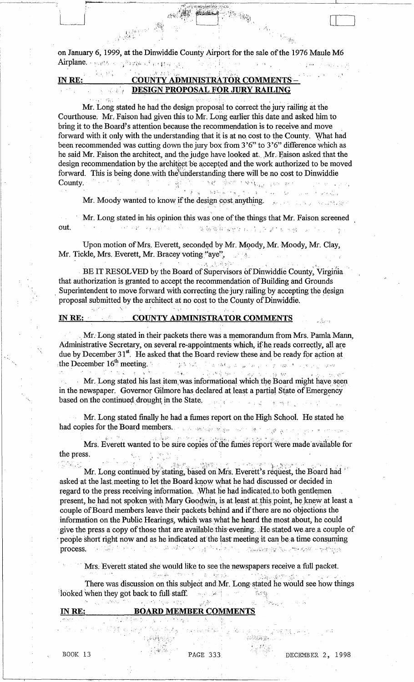on January 6, 1999, at the Dinwiddie County Airport for the sale of the 1976 Maule M6 Airplane. "  $\mathbb{R}^{n}$  ,  $\mathbb{R}^{n}$  ,  $\mathbb{R}^{n}$  ,  $\mathbb{R}^{n}$  ,  $\mathbb{R}^{n}$  ;  $\mathbb{R}^{n}$   $\mathbb{R}^{n}$ -148  $\sigma$  and  $\sigma$  $\langle x\rangle$  or  $\langle \zeta_{\bf k}\rangle$  .

 $\ddot{\mathbf{1}}$ 

# IN RE: COUNTY ADMINISTRATOR COMMENTS-DESIGN PROPOSAL FOR JURY RAILING

Mr. Long stated he had the design proposal to correct the jury railing at the Courthouse. Mr. Faison had given this to Mr. Long earlier this date and asked him to bring it to the Board's attention because the recommendation is to receive and move forward with it only with the understanding that it is at no, cost to the County. What had been recommended was cutting down the jury box from 3'6" to 3'6" difference which as he said Mr. Faison the architect, and the judge have looked at., Mr. Faison asked that the design recommendation by the architect be accepted and the work authorized to be moved forward. This is being done with the understanding there will be no cost to Dinwiddie County. County.

أوالي والمتوارد والمستنب والمستحدث والأراقية والمتحركة والتحجير والتخريج والأرائح Mr. Moody wanted to know if the design cost anything.

j : ;.:, h,:'.

Mr. Long stated in his opinion this was one of the things that Mr. Faison screened  $out.$  , and the set of the constant of the set of  $\mathbb{R}$  is the set of the set of the set of the set of the set of  $\mathbb{R}$ 

Upon motion of Mrs. Everett, seconded by Mr. Moody, Mr. Moody, Mr. Clay, Mr. Tickle, Mrs. Everett, Mr. Bracey voting "aye", individual

BE IT RESOLVED by the Board of Supervisors of Dinwiddie County, Virginia that authorization is granted to accept the recommendation of Building and Grounds Superintendent to move forward with correcting the jury railing by accepting the design proposal submitted by the architect at no cost to the County of Dinwiddie.

# IN RE: COUNTY ADMINISTRATOR COMMENTS

Mr. Long stated in their packets there was a memorandum from Mrs. Pamla Mann, Administrative Secretary, on several re-appointments which, if he reads correctly, all are due by December  $31<sup>st</sup>$ . He asked that the Board review these and be ready for action at the December 16<sup>th</sup> meeting. ",  $\frac{1}{2}$  is  $\frac{1}{2}$ ,  $\frac{1}{2}$ ,  $\frac{1}{2}$ ,  $\frac{1}{2}$ ,  $\frac{1}{2}$ ,  $\frac{1}{2}$ ,  $\frac{1}{2}$ ,  $\frac{1}{2}$ ,  $\frac{1}{2}$ ,  $\frac{1}{2}$ ,  $\frac{1}{2}$ ,  $\frac{1}{2}$ ,  $\frac{1}{2}$ 

~ 'i~' ,'t, ~'l ' <,~- ':;' ~;;.' ~ " I:~~'

Mr. Long stated his last item was informational which the Board might have seen in the newspaper. Governor Gilmore has declared at least a partial State of Emergency " based on the contlnued,drough~ ~n the St~te. . " .... ,. ' ;

Mr. Long stated finally he had a fumes report on the High School. He stated he had copies for the Board members.

 $~^{\rm 4}$   $~^{\rm 4}$   $~^{\rm 4}$   $~^{\rm 4}$   $~^{\rm 4}$   $~^{\rm 4}$   $~^{\rm 4}$   $~^{\rm 4}$   $~^{\rm 4}$   $~^{\rm 4}$   $~^{\rm 4}$   $~^{\rm 4}$   $~^{\rm 4}$   $~^{\rm 4}$   $~^{\rm 4}$   $~^{\rm 4}$   $~^{\rm 4}$   $~^{\rm 4}$   $~^{\rm 4}$   $~^{\rm 4}$   $~^{\rm 4}$   $~^{\rm 4}$  Mrs. Everett wanted to be sure copies of the fumes report were made available for the press. e press.<br>exercet wanted to be sare copies of the funds report were made avantable to.<br>Mr. Long continued by stating, based on Mrs. Everett's request, the Board had

asked at the last meeting to let the Board know what he had discussed or decided in regard to the press receiving information. What he had indicated to both gentlemen present, he had not spoken with Mary Goodwin, is at least at this point, he knew at least a couple of Board members leave their packets behind and if there are no objections the information on the Public Hearings, which was what he heard the most about, he could give the press a copy of those that are available this evening. He stated we are a couple of people short right now and as he indicated at the last meeting it can be a time consuming  $\overline{\text{process}}$  , and  $\overline{\mathbb{R}}$  ) and the set of  $\mathbb{R}$  ,  $\mathbb{R}^n$  ,  $\mathbb{R}^n$  ,  $\mathbb{R}^n$  ,  $\mathbb{R}^n$  ,  $\mathbb{R}^n$  ,  $\mathbb{R}^n$  ,  $\mathbb{R}^n$  ,  $\mathbb{R}^n$  ,  $\mathbb{R}^n$  ,  $\mathbb{R}^n$  ,  $\mathbb{R}^n$  ,  $\mathbb{R}^n$  ,  $\mathbb{R}^$ 

Mrs. Everett stated she' would like to see the newspapers receive a full packet.

There was discussion on this subject and Mr. Long-stated he would see how things  $\blacksquare$  looked when they got back to full staff,  $\blacksquare$ 

# lNRE: BOARD MEMBER COMMENTS

 $\sim$  ,  $\sim$  $\tilde{g}_1$  ,  $\tilde{g}_2$ 

,  $\sim$   $\sim$   $\Omega_{\rm A} \eta_{\rm A}$ 

"\

منباطرا

 $\cdot$  , with in

: $\mathbb{Z}^k$  "  $\mathbb{Z}$ 

运动现场条件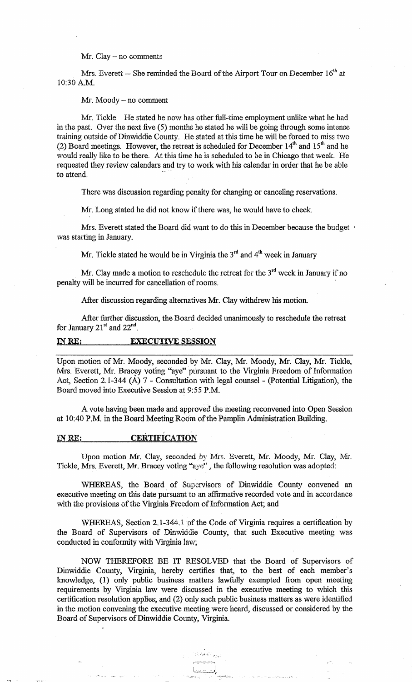#### $Mr.$  Clay  $-$  no comments

Mrs. Everett -- She reminded the Board of the Airport Tour on December  $16<sup>th</sup>$  at 10:30 A.M.

 $Mr.$  Moody  $-$  no comment

Mr. Tickle - He stated he now has other full-time employment unlike what he had in the past. Over the next five (5) months he stated he will be going through some intense training outside of Dinwiddie County. He stated at this time he will be forced to miss two (2) Board meetings. However, the retreat is scheduled for December  $14<sup>th</sup>$  and  $15<sup>th</sup>$  and he would really like to be there. At this time he is scheduled to be in Chicago that week. He requested they review calendars and try to work with his calendar in order that he be able to attend.

There was discussion regarding penalty for changing or canceling reservations.

Mr. Long stated he did not know if there was, he would have to check.

Mrs. Everett stated the Board did want to do this in December because the budget . was starting in January.

Mr. Tickle stated he would be in Virginia the  $3<sup>rd</sup>$  and  $4<sup>th</sup>$  week in January

Mr. Clay made a motion to reschedule the retreat for the  $3<sup>rd</sup>$  week in January if no penalty will be incurred for cancellation of rooms.

After discussion regarding altematives Mr. Clay withdrew his motion.

After further discussion, the Board decided unanimously to reschedule the retreat for January  $21<sup>st</sup>$  and  $22<sup>nd</sup>$ .

INRE: EXECUTIVE SESSION

Upon motion of Mr. Moody, seconded by Mr. Clay, Mr. Moody, Mr. Clay, Mr. Tickle, Mrs. Everett, Mr. Bracey voting "aye" pursuant to the Virginia Freedom of Information Act, Section 2.1-344 (A) 7 - Consultation with legal counsel - (Potential Litigation), the Board moved into Executive Session at9:55 P.M.

A vote having been made and approved the meeting reconvened into Open Session at 10:40 P.M. in the Board Meeting Room of the Pamplin Administration Building.

# IN RE: CERTIFICATION

<sup>~</sup>"I

Upon motion Mr. Clay, seconded by Mrs. Everett, Mr. Moody, Mr. Clay, Mr. Tickle, Mrs. Everett, Mr. Bracey voting "aye" , the following resolution was adopted:

WHEREAS, the Board of Supervisors of Dinwiddie County convened an executive meeting on this date pursuant to an affirmative recorded vote and in accordance with the provisions of the Virginia Freedom of Information Act; and

WHEREAS, Section 2.1-344.1 of the Code of Virginia requires a certification by the Board of Supervisors of Dinwiddie County, that such Executive meeting was conducted in conformity with Virginia la\v;

NOW THEREFORE BE IT RESOLVED that the Board of Supervisors of Dinwiddie County, Virginia, hereby certifies that, to the best of each member's knowledge, (1) only public business matters lawfully exempted from open meeting requirements by Virginia law were discussed in the executive meeting to which this certification resolution applies; and (2) only such public business matters as were identified in the motion convening the executive meeting were heard, discussed or considered by the Board of Supervisors of Dinwiddie County, Virginia.

> ,...~ .. ---, , i L:-\_-\_\_ \ . ~-~;';';."~.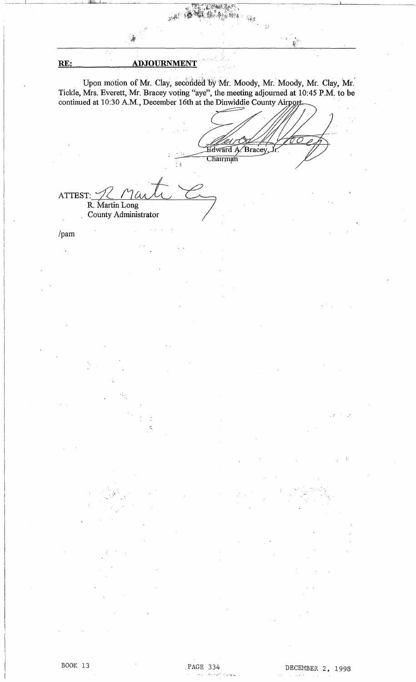RE: <u>ADJOURNMENT</u>

 $\mathcal{S}^{\mathcal{A}^{\text{in}}_{\text{in}}\text{F}}$ 

Upon motion of Mr. Clay, seconded by Mr. Moody, Mr. Moody, Mr. Clay, Mr. Tickle, Mrs. Everett, Mr. Bracey voting "aye", the meeting adjourned at 10:45 P.M. to be continued at 10:30 A.M., December 16th at the Dinwiddie County Airport.

**RATANY W** MONE

 $\{q_{\vec{q}}\}$ 

 $\frac{1}{2}$ 

Edward A. Bracey, Chairman  $\frac{1}{2}$  .

ATTEST: R. Martin Long County Administrator  $\ddot{\phantom{a}}$ 

/pam

BOOK 13

PAGE 334

DECEMBER 2, 1998